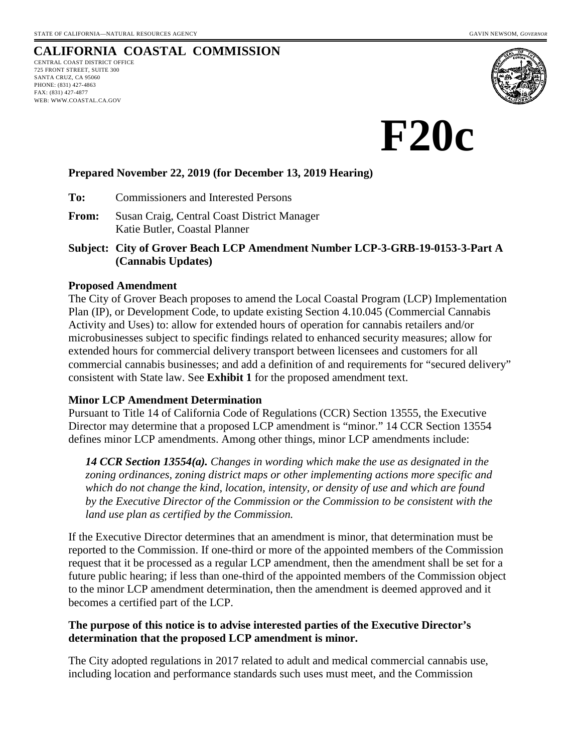# **CALIFORNIA COASTAL COMMISSION**

CENTRAL COAST DISTRICT OFFICE 725 FRONT STREET, SUITE 300 SANTA CRUZ, CA 95060 PHONE: (831) 427-4863 FAX: (831) 427-4877 WEB: WWW.COASTAL.CA.GOV



**F20c** 

## **Prepared November 22, 2019 (for December 13, 2019 Hearing)**

**To:** Commissioners and Interested Persons

- **From:** Susan Craig, Central Coast District Manager Katie Butler, Coastal Planner
- **Subject: City of Grover Beach LCP Amendment Number LCP-3-GRB-19-0153-3-Part A (Cannabis Updates)**

#### **Proposed Amendment**

The City of Grover Beach proposes to amend the Local Coastal Program (LCP) Implementation Plan (IP), or Development Code, to update existing Section 4.10.045 (Commercial Cannabis Activity and Uses) to: allow for extended hours of operation for cannabis retailers and/or microbusinesses subject to specific findings related to enhanced security measures; allow for extended hours for commercial delivery transport between licensees and customers for all commercial cannabis businesses; and add a definition of and requirements for "secured delivery" consistent with State law. See **Exhibit 1** for the proposed amendment text.

#### **Minor LCP Amendment Determination**

Pursuant to Title 14 of California Code of Regulations (CCR) Section 13555, the Executive Director may determine that a proposed LCP amendment is "minor." 14 CCR Section 13554 defines minor LCP amendments. Among other things, minor LCP amendments include:

*14 CCR Section 13554(a). Changes in wording which make the use as designated in the zoning ordinances, zoning district maps or other implementing actions more specific and which do not change the kind, location, intensity, or density of use and which are found by the Executive Director of the Commission or the Commission to be consistent with the land use plan as certified by the Commission.* 

If the Executive Director determines that an amendment is minor, that determination must be reported to the Commission. If one-third or more of the appointed members of the Commission request that it be processed as a regular LCP amendment, then the amendment shall be set for a future public hearing; if less than one-third of the appointed members of the Commission object to the minor LCP amendment determination, then the amendment is deemed approved and it becomes a certified part of the LCP.

## **The purpose of this notice is to advise interested parties of the Executive Director's determination that the proposed LCP amendment is minor.**

The City adopted regulations in 2017 related to adult and medical commercial cannabis use, including location and performance standards such uses must meet, and the Commission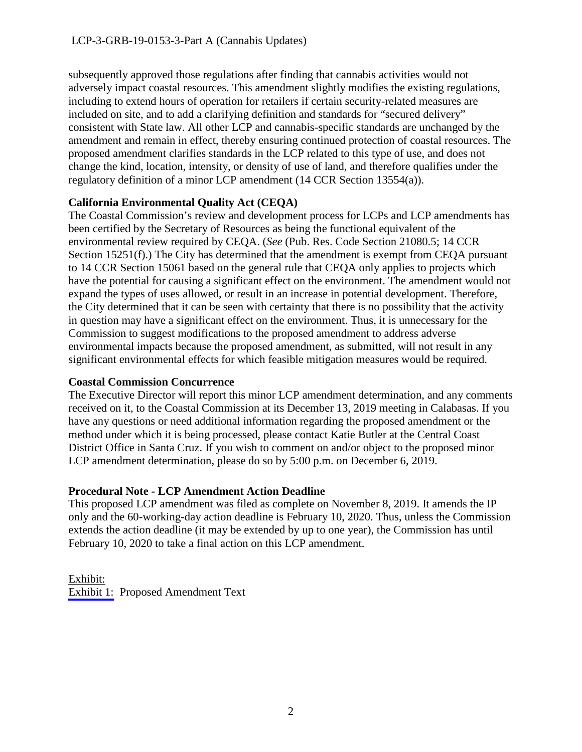subsequently approved those regulations after finding that cannabis activities would not adversely impact coastal resources. This amendment slightly modifies the existing regulations, including to extend hours of operation for retailers if certain security-related measures are included on site, and to add a clarifying definition and standards for "secured delivery" consistent with State law. All other LCP and cannabis-specific standards are unchanged by the amendment and remain in effect, thereby ensuring continued protection of coastal resources. The proposed amendment clarifies standards in the LCP related to this type of use, and does not change the kind, location, intensity, or density of use of land, and therefore qualifies under the regulatory definition of a minor LCP amendment (14 CCR Section 13554(a)).

## **California Environmental Quality Act (CEQA)**

The Coastal Commission's review and development process for LCPs and LCP amendments has been certified by the Secretary of Resources as being the functional equivalent of the environmental review required by CEQA. (*See* (Pub. Res. Code Section 21080.5; 14 CCR Section 15251(f).) The City has determined that the amendment is exempt from CEQA pursuant to 14 CCR Section 15061 based on the general rule that CEQA only applies to projects which have the potential for causing a significant effect on the environment. The amendment would not expand the types of uses allowed, or result in an increase in potential development. Therefore, the City determined that it can be seen with certainty that there is no possibility that the activity in question may have a significant effect on the environment. Thus, it is unnecessary for the Commission to suggest modifications to the proposed amendment to address adverse environmental impacts because the proposed amendment, as submitted, will not result in any significant environmental effects for which feasible mitigation measures would be required.

# **Coastal Commission Concurrence**

The Executive Director will report this minor LCP amendment determination, and any comments received on it, to the Coastal Commission at its December 13, 2019 meeting in Calabasas. If you have any questions or need additional information regarding the proposed amendment or the method under which it is being processed, please contact Katie Butler at the Central Coast District Office in Santa Cruz. If you wish to comment on and/or object to the proposed minor LCP amendment determination, please do so by 5:00 p.m. on December 6, 2019.

# **Procedural Note - LCP Amendment Action Deadline**

This proposed LCP amendment was filed as complete on November 8, 2019. It amends the IP only and the 60-working-day action deadline is February 10, 2020. Thus, unless the Commission extends the action deadline (it may be extended by up to one year), the Commission has until February 10, 2020 to take a final action on this LCP amendment.

## Exhibit: [Exhibit 1:](#page-2-0) Proposed Amendment Text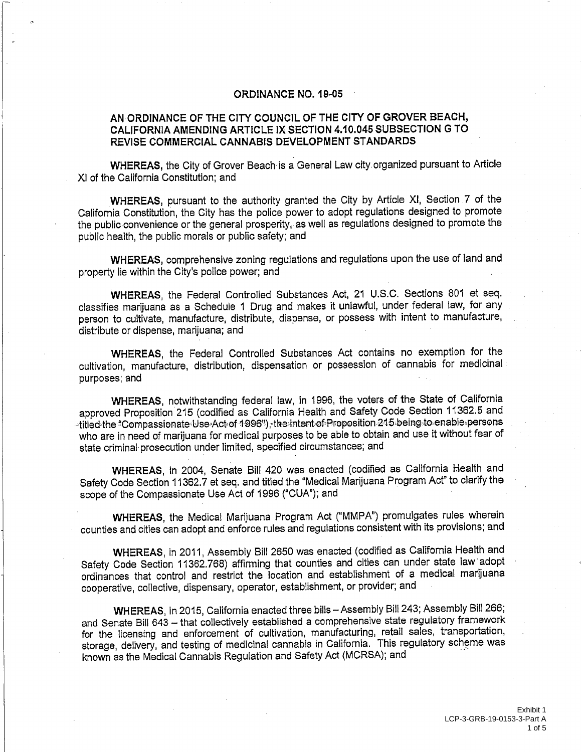#### **ORDINANCE NO. 19-05**

#### <span id="page-2-0"></span>AN ORDINANCE OF THE CITY COUNCIL OF THE CITY OF GROVER BEACH, CALIFORNIA AMENDING ARTICLE IX SECTION 4.10.045 SUBSECTION G TO REVISE COMMERCIAL CANNABIS DEVELOPMENT STANDARDS

WHEREAS, the City of Grover Beach is a General Law city organized pursuant to Article XI of the California Constitution; and

WHEREAS, pursuant to the authority granted the City by Article XI, Section 7 of the California Constitution, the City has the police power to adopt regulations designed to promote the public convenience or the general prosperity, as well as regulations designed to promote the public health, the public morals or public safety; and

WHEREAS, comprehensive zoning regulations and regulations upon the use of land and property lie within the City's police power; and

WHEREAS, the Federal Controlled Substances Act, 21 U.S.C. Sections 801 et seq. classifies marijuana as a Schedule 1 Drug and makes it unlawful, under federal law, for any person to cultivate, manufacture, distribute, dispense, or possess with intent to manufacture, distribute or dispense, marijuana; and

WHEREAS, the Federal Controlled Substances Act contains no exemption for the cultivation, manufacture, distribution, dispensation or possession of cannabis for medicinal purposes; and

WHEREAS, notwithstanding federal law, in 1996, the voters of the State of California approved Proposition 215 (codified as California Health and Safety Code Section 11362.5 and -titled the "Compassionate Use Act of 1996"), the intent of Proposition 215 being to enable persons who are in need of marijuana for medical purposes to be able to obtain and use it without fear of state criminal prosecution under limited, specified circumstances; and

WHEREAS, in 2004, Senate Bill 420 was enacted (codified as California Health and Safety Code Section 11362.7 et seq. and titled the "Medical Marijuana Program Act" to clarify the scope of the Compassionate Use Act of 1996 ("CUA"); and

WHEREAS, the Medical Marijuana Program Act ("MMPA") promulgates rules wherein counties and cities can adopt and enforce rules and regulations consistent with its provisions; and

WHEREAS, in 2011, Assembly Bill 2650 was enacted (codified as California Health and Safety Code Section 11362.768) affirming that counties and cities can under state law adopt ordinances that control and restrict the location and establishment of a medical marijuana cooperative, collective, dispensary, operator, establishment, or provider; and

WHEREAS, In 2015, California enacted three bilis - Assembly Bill 243; Assembly Bill 266; and Senate Bill 643 - that collectively established a comprehensive state regulatory framework for the licensing and enforcement of cultivation, manufacturing, retail sales, transportation, storage, delivery, and testing of medicinal cannabis in California. This regulatory scheme was known as the Medical Cannabis Regulation and Safety Act (MCRSA); and

> Fxhibit 1 LCP-3-GRB-19-0153-3-Part A 1 of  $5$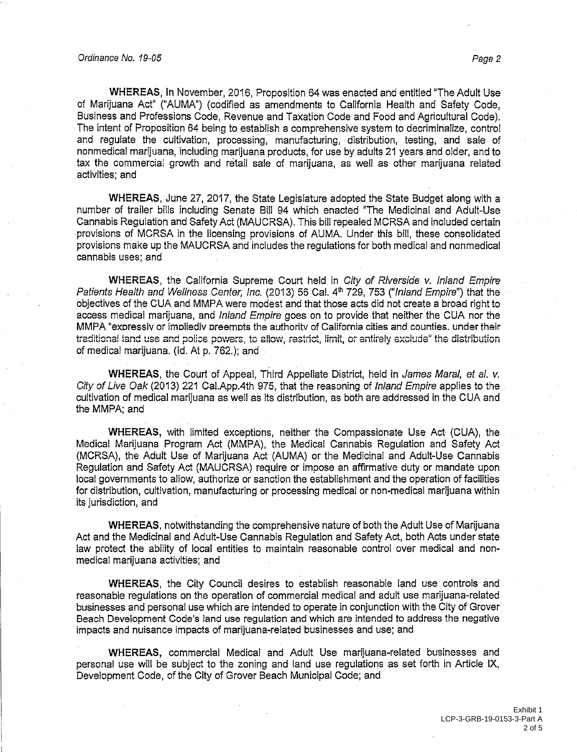WHEREAS, In November, 2016, Proposition 64 was enacted and entitled "The Adult Use of Marijuana Act" ("AUMA") (codified as amendments to California Health and Safety Code. Business and Professions Code, Revenue and Taxation Code and Food and Agricultural Code). The intent of Proposition 64 being to establish a comprehensive system to decriminalize, control and requiate the cultivation, processing, manufacturing, distribution, testing, and sale of nonmedical marijuana, including marijuana products, for use by adults 21 years and older, and to tax the commercial growth and retail sale of mariluana, as well as other mariluana related activities; and

WHEREAS, June 27, 2017, the State Legislature adopted the State Budget along with a number of trailer bills including Senate Bill 94 which enacted "The Medicinal and Adult-Use Cannabis Regulation and Safety Act (MAUCRSA). This bill repealed MCRSA and included certain provisions of MCRSA in the licensing provisions of AUMA. Under this bill, these consolidated provisions make up the MAUCRSA and includes the requiations for both medical and nonmedical cannabis uses; and

WHEREAS, the California Supreme Court held in City of Riverside v. Inland Empire Patients Health and Wellness Center, Inc. (2013) 56 Cal. 4<sup>th</sup> 729, 753 ("Inland Empire") that the objectives of the CUA and MMPA were modest and that those acts did not create a broad right to access medical marijuana, and *Inland Empire* goes on to provide that neither the CUA nor the MMPA "expressly or impliedly preempts the authority of California cities and counties. under their traditional land use and police powers, to allow, restrict, limit, or entirely exclude" the distribution of medical marijuana. (Id. At p. 762.); and

**WHEREAS**, the Court of Appeal, Third Appellate District, held in James Maral, et al. v. City of Live Oak (2013) 221 Cal.App.4th 975, that the reasoning of Inland Empire applies to the cultivation of medical marijuana as well as its distribution, as both are addressed in the CUA and the MMPA; and

WHEREAS, with limited exceptions, neither the Compassionate Use Act (CUA), the Medical Marijuana Program Act (MMPA), the Medical Cannabis Regulation and Safety Act (MCRSA), the Adult Use of Marijuana Act (AUMA) or the Medicinal and Adult-Use Cannabis Regulation and Safety Act (MAUCRSA) require or impose an affirmative duty or mandate upon local governments to allow, authorize or sanction the establishment and the operation of facilities for distribution, cultivation, manufacturing or processing medical or non-medical marijuana within its jurisdiction, and

WHEREAS, notwithstanding the comprehensive nature of both the Adult Use of Marijuana Act and the Medicinal and Adult-Use Cannabis Regulation and Safety Act, both Acts under state law protect the ability of local entities to maintain reasonable control over medical and nonmedical marijuana activities; and

WHEREAS, the City Council desires to establish reasonable land use controls and reasonable regulations on the operation of commercial medical and adult use marijuana-related businesses and personal use which are intended to operate in conjunction with the City of Grover Beach Development Code's land use regulation and which are intended to address the negative impacts and nuisance impacts of marijuana-related businesses and use; and

WHEREAS, commercial Medical and Adult Use marijuana-related businesses and personal use will be subject to the zoning and land use regulations as set forth in Article IX, Development Code, of the City of Grover Beach Municipal Code; and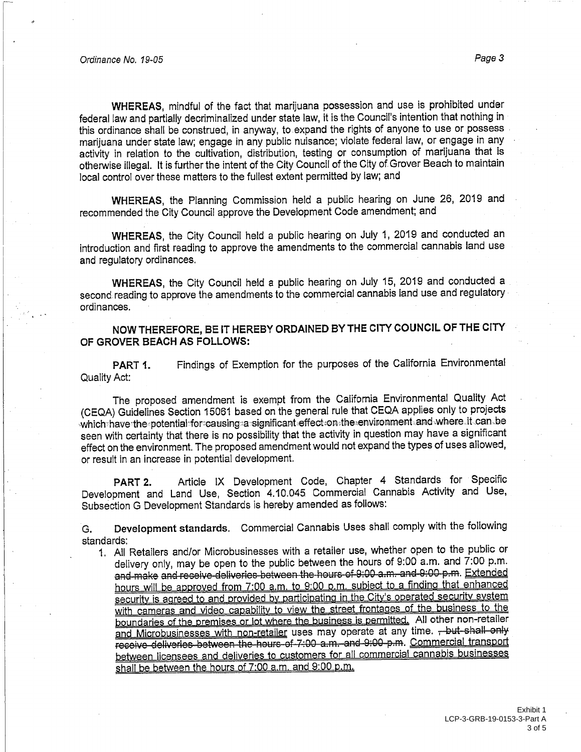WHEREAS, mindful of the fact that marijuana possession and use is prohibited under federal law and partially decriminalized under state law, it is the Council's intention that nothing in this ordinance shall be construed, in anyway, to expand the rights of anyone to use or possess marijuana under state law; engage in any public nuisance; violate federal law, or engage in any activity in relation to the cultivation, distribution, testing or consumption of marijuana that is otherwise illegal. It is further the intent of the City Council of the City of Grover Beach to maintain local control over these matters to the fullest extent permitted by law; and

WHEREAS, the Planning Commission held a public hearing on June 26, 2019 and recommended the City Council approve the Development Code amendment; and

WHEREAS, the City Council held a public hearing on July 1, 2019 and conducted an introduction and first reading to approve the amendments to the commercial cannabis land use and regulatory ordinances.

WHEREAS, the City Council held a public hearing on July 15, 2019 and conducted a second reading to approve the amendments to the commercial cannabis land use and regulatory ordinances.

NOW THEREFORE, BE IT HEREBY ORDAINED BY THE CITY COUNCIL OF THE CITY OF GROVER BEACH AS FOLLOWS:

Findings of Exemption for the purposes of the California Environmental PART 1. Quality Act:

The proposed amendment is exempt from the California Environmental Quality Act (CEQA) Guidelines Section 15061 based on the general rule that CEQA applies only to projects which have the potential for causing a significant effect on the environment and where it can be seen with certainty that there is no possibility that the activity in question may have a significant effect on the environment. The proposed amendment would not expand the types of uses allowed, or result in an increase in potential development.

Article IX Development Code, Chapter 4 Standards for Specific PART<sub>2.</sub> Development and Land Use, Section 4.10.045 Commercial Cannabis Activity and Use, Subsection G Development Standards is hereby amended as follows:

Development standards. Commercial Cannabis Uses shall comply with the following G. standards:

1. All Retailers and/or Microbusinesses with a retailer use, whether open to the public or delivery only, may be open to the public between the hours of 9:00 a.m. and 7:00 p.m. and make and receive deliveries between the hours of 9:00 a.m. and 9:00 p.m. Extended hours will be approved from 7:00 a.m. to 9:00 p.m. subject to a finding that enhanced security is agreed to and provided by participating in the City's operated security system with cameras and video capability to view the street frontages of the business to the boundaries of the premises or lot where the business is permitted. All other non-retailer and Microbusinesses with non-retailer uses may operate at any time. - but shall only receive deliveries between the hours of 7:00 a.m. and 9:00 p.m. Commercial transport between licensees and deliveries to customers for all commercial cannabis businesses shall be between the hours of 7:00 a.m. and 9:00 p.m.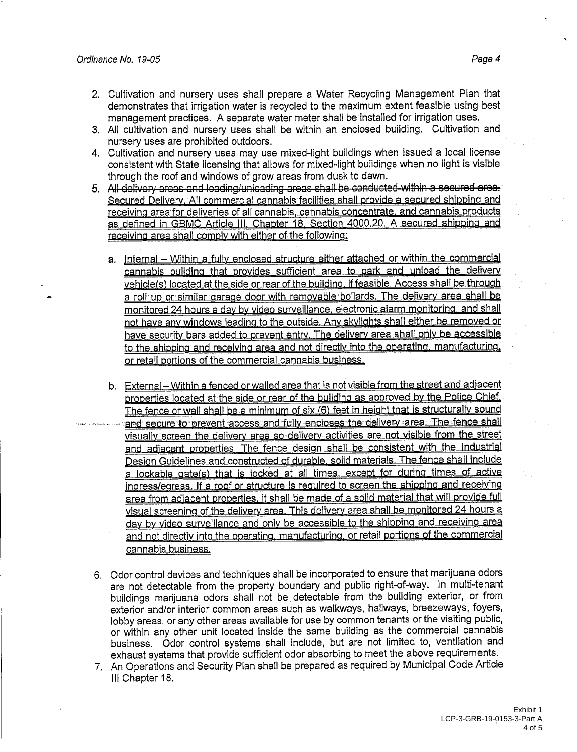- 2. Cultivation and nursery uses shall prepare a Water Recycling Management Plan that demonstrates that irrigation water is recycled to the maximum extent feasible using best management practices. A separate water meter shall be installed for irrigation uses.
- 3. All cultivation and nursery uses shall be within an enclosed building. Cultivation and nursery uses are prohibited outdoors.
- 4. Cultivation and nursery uses may use mixed-light buildings when issued a local license consistent with State licensing that allows for mixed-light buildings when no light is visible through the roof and windows of grow areas from dusk to dawn.
- 5. All delivery areas and loading/unloading areas shall be conducted within a secured area. Secured Delivery. All commercial cannabis facilities shall provide a secured shipping and receiving area for deliveries of all cannabis, cannabis concentrate, and cannabis products as defined in GBMC Article III, Chapter 18, Section 4000.20. A secured shipping and receiving area shall comply with either of the following.
	- a. Internal Within a fully enclosed structure either attached or within the commercial cannabis building that provides sufficient area to park and unload the delivery vehicle(s) located at the side or rear of the building, if feasible. Access shall be through a roll up or similar garage door with removable bollards. The delivery area shall be monitored 24 hours a day by video surveillance, electronic alarm monitoring, and shall not have any windows leading to the outside. Any skylights shall either be removed or have security bars added to prevent entry. The delivery area shall only be accessible to the shipping and receiving area and not directly into the operating, manufacturing. or retail portions of the commercial cannabis business.
	- b. External Within a fenced or walled area that is not visible from the street and adiacent properties located at the side or rear of the building as approved by the Police Chief. The fence or wall shall be a minimum of six (6) feet in height that is structurally sound and secure to prevent access and fully encloses the delivery area. The fence shall visually screen the delivery area so delivery activities are not visible from the street and adjacent properties. The fence design shall be consistent with the Industrial Design Guidelines and constructed of durable, solid materials. The fence shall include a lockable gate(s) that is locked at all times, except for during times of active ingress/egress. If a roof or structure is required to screen the shipping and receiving area from adjacent properties, it shall be made of a solid material that will provide full visual screening of the delivery area. This delivery area shall be monitored 24 hours a day by video surveillance and only be accessible to the shipping and receiving area and not directly into the operating, manufacturing, or retail portions of the commercial cannabis business.
- 6. Odor control devices and techniques shall be incorporated to ensure that marijuana odors are not detectable from the property boundary and public right-of-way. In multi-tenant buildings marijuana odors shall not be detectable from the building exterior, or from exterior and/or interior common areas such as walkways, hallways, breezeways, foyers, lobby areas, or any other areas available for use by common tenants or the visiting public, or within any other unit located inside the same building as the commercial cannabis business. Odor control systems shall include, but are not limited to, ventilation and exhaust systems that provide sufficient odor absorbing to meet the above requirements.
- 7. An Operations and Security Plan shall be prepared as required by Municipal Code Article III Chapter 18.